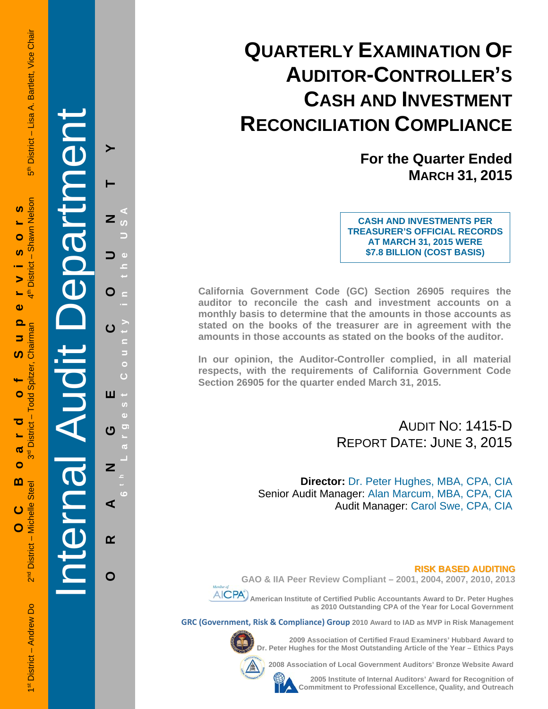# **QUARTERLY EXAMINATION OF AUDITOR-CONTROLLER'S CASH AND INVESTMENT RECONCILIATION COMPLIANCE**

**For the Quarter Ended MARCH 31, 2015**

**CASH AND INVESTMENTS PER TREASURER'S OFFICIAL RECORDS AT MARCH 31, 2015 WERE \$7.8 BILLION (COST BASIS)**

**California Government Code (GC) Section 26905 requires the auditor to reconcile the cash and investment accounts on a monthly basis to determine that the amounts in those accounts as stated on the books of the treasurer are in agreement with the amounts in those accounts as stated on the books of the auditor.** 

**In our opinion, the Auditor-Controller complied, in all material respects, with the requirements of California Government Code Section 26905 for the quarter ended March 31, 2015.** 

### AUDIT NO: 1415-D REPORT DATE: JUNE 3, 2015

**Director:** Dr. Peter Hughes, MBA, CPA, CIA Senior Audit Manager: Alan Marcum, MBA, CPA, CIA Audit Manager: Carol Swe, CPA, CIA

#### **RISK BASED AUDITING**

**GAO & IIA Peer Review Compliant – 2001, 2004, 2007, 2010, 2013** 

 **American Institute of Certified Public Accountants Award to Dr. Peter Hughes as 2010 Outstanding CPA of the Year for Local Government** 

**GRC (Government, Risk & Compliance) Group 2010 Award to IAD as MVP in Risk Management** 



**2009 Association of Certified Fraud Examiners' Hubbard Award to Dr. Peter Hughes for the Most Outstanding Article of the Year – Ethics Pays** 

**2008 Association of Local Government Auditors' Bronze Website Award** 



**2005 Institute of Internal Auditors' Award for Recognition of Commitment to Professional Excellence, Quality, and Outreach**

1st District – Andrew Do 2<sup>nd</sup> District – Michelle Steel 3rd District – Todi<u>man 4th District – Todiman ath District – Nice Chair</u><br>1st District – Andrew Do 2nd District – Nichelle Steel 3rd District – Todiman 4th District District - Lisa A. Bartlett, Vice Chair —<br>ნი  **OC Board of Supervisors**  Shawn Nelson **SC**  $\bullet$  $\mathbf I$ **District**  $\blacktriangleright$ ŧ,  $\mathbf{\omega}$  $\mathbf{\Omega}$ Chairman 5 ທ Todd Spitzer Ó District-ਹ ൕ ო<br>თ  $\bullet$  $\mathbf{m}$ District - Michelle Steel ပ

Internal Audit Department

**ORANGE COUNTY 6 t h Lar**

ш

U

Z

⋖

 $\alpha$ 

O

O

**g**

**est Count**

**y in the USA** 

1<sup>st</sup> District - Andrew Do

e<br>N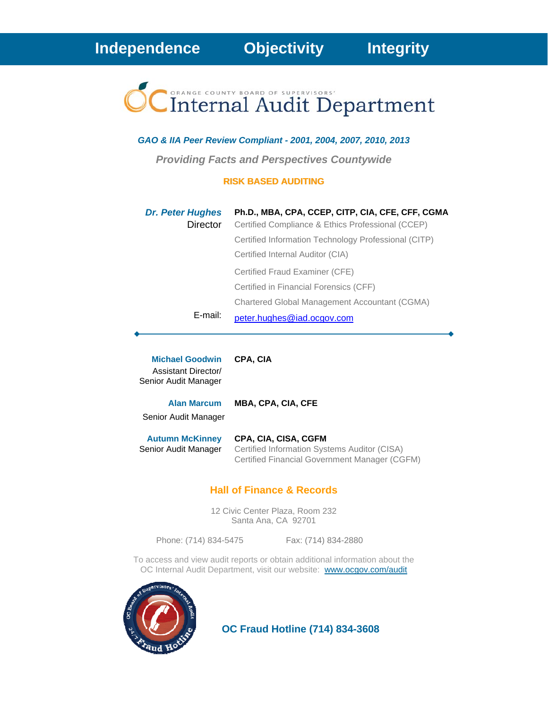# Internal Audit Department

#### *GAO & IIA Peer Review Compliant - 2001, 2004, 2007, 2010, 2013*

*Providing Facts and Perspectives Countywide* 

#### **RISK BASED AUDITING**

| <b>Dr. Peter Hughes</b> | Ph.D., MBA, CPA, CCEP, CITP, CIA, CFE, CFF, CGMA     |
|-------------------------|------------------------------------------------------|
| Director                | Certified Compliance & Ethics Professional (CCEP)    |
|                         | Certified Information Technology Professional (CITP) |
|                         | Certified Internal Auditor (CIA)                     |
|                         | Certified Fraud Examiner (CFE)                       |
|                         | Certified in Financial Forensics (CFF)               |
|                         | Chartered Global Management Accountant (CGMA)        |
| E-mail:                 | peter.hughes@iad.ocgov.com                           |

| <b>Michael Goodwin</b><br>Assistant Director/<br>Senior Audit Manager | <b>CPA. CIA</b>                                                                                                       |
|-----------------------------------------------------------------------|-----------------------------------------------------------------------------------------------------------------------|
| <b>Alan Marcum</b><br>Senior Audit Manager                            | <b>MBA, CPA, CIA, CFE</b>                                                                                             |
| <b>Autumn McKinney</b><br>Senior Audit Manager                        | CPA, CIA, CISA, CGFM<br>Certified Information Systems Auditor (CISA)<br>Certified Financial Government Manager (CGFM) |

#### **Hall of Finance & Records**

12 Civic Center Plaza, Room 232 Santa Ana, CA 92701

Phone: (714) 834-5475 Fax: (714) 834-2880

To access and view audit reports or obtain additional information about the OC Internal Audit Department, visit our website: www.ocgov.com/audit



 **OC Fraud Hotline (714) 834-3608**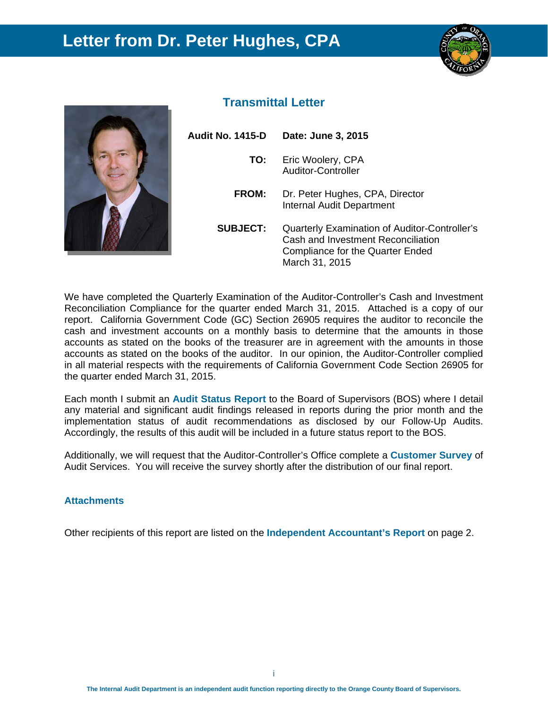## **Letter from Dr. Peter Hughes, CPA**





#### **Transmittal Letter**

| Audit No. 1415-D | Date: June 3, 2015                                                                                                                               |
|------------------|--------------------------------------------------------------------------------------------------------------------------------------------------|
| TO:              | Eric Woolery, CPA<br>Auditor-Controller                                                                                                          |
| <b>FROM:</b>     | Dr. Peter Hughes, CPA, Director<br><b>Internal Audit Department</b>                                                                              |
| <b>SUBJECT:</b>  | Quarterly Examination of Auditor-Controller's<br>Cash and Investment Reconciliation<br><b>Compliance for the Quarter Ended</b><br>March 31, 2015 |

We have completed the Quarterly Examination of the Auditor-Controller's Cash and Investment Reconciliation Compliance for the quarter ended March 31, 2015. Attached is a copy of our report. California Government Code (GC) Section 26905 requires the auditor to reconcile the cash and investment accounts on a monthly basis to determine that the amounts in those accounts as stated on the books of the treasurer are in agreement with the amounts in those accounts as stated on the books of the auditor. In our opinion, the Auditor-Controller complied in all material respects with the requirements of California Government Code Section 26905 for the quarter ended March 31, 2015.

Each month I submit an **Audit Status Report** to the Board of Supervisors (BOS) where I detail any material and significant audit findings released in reports during the prior month and the implementation status of audit recommendations as disclosed by our Follow-Up Audits. Accordingly, the results of this audit will be included in a future status report to the BOS.

Additionally, we will request that the Auditor-Controller's Office complete a **Customer Survey** of Audit Services. You will receive the survey shortly after the distribution of our final report.

#### **Attachments**

Other recipients of this report are listed on the **Independent Accountant's Report** on page 2.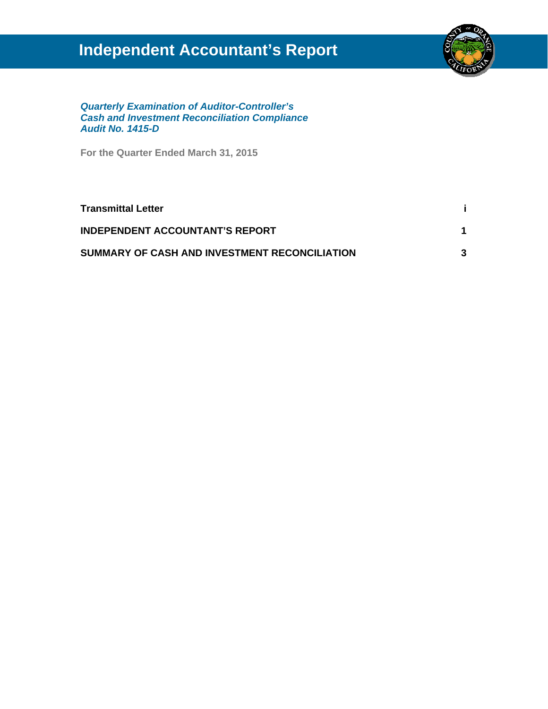## **Independent Accountant's Report**



*Quarterly Examination of Auditor-Controller's Cash and Investment Reconciliation Compliance Audit No. 1415-D* 

**For the Quarter Ended March 31, 2015** 

| <b>Transmittal Letter</b>                     |  |
|-----------------------------------------------|--|
| <b>INDEPENDENT ACCOUNTANT'S REPORT</b>        |  |
| SUMMARY OF CASH AND INVESTMENT RECONCILIATION |  |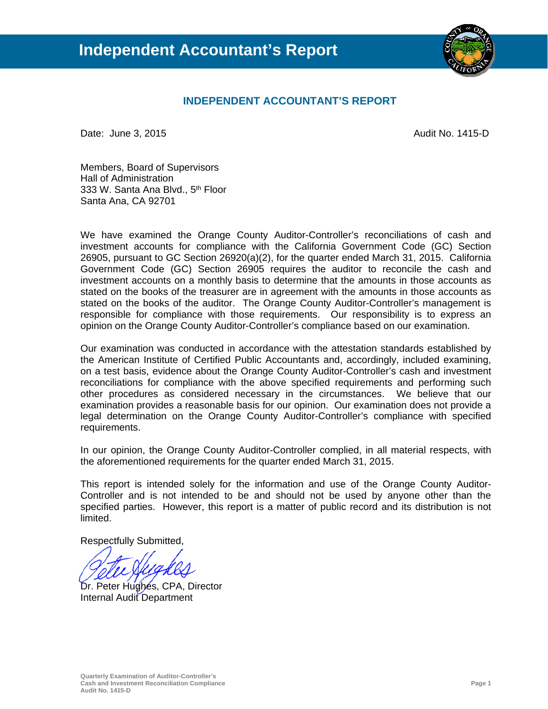

#### **INDEPENDENT ACCOUNTANT'S REPORT**

Date: June 3, 2015 **Audit No. 1415-D Contract Contract Audit No. 1415-D** 

Members, Board of Supervisors Hall of Administration 333 W. Santa Ana Blvd., 5<sup>th</sup> Floor Santa Ana, CA 92701

We have examined the Orange County Auditor-Controller's reconciliations of cash and investment accounts for compliance with the California Government Code (GC) Section 26905, pursuant to GC Section 26920(a)(2), for the quarter ended March 31, 2015. California Government Code (GC) Section 26905 requires the auditor to reconcile the cash and investment accounts on a monthly basis to determine that the amounts in those accounts as stated on the books of the treasurer are in agreement with the amounts in those accounts as stated on the books of the auditor. The Orange County Auditor-Controller's management is responsible for compliance with those requirements. Our responsibility is to express an opinion on the Orange County Auditor-Controller's compliance based on our examination.

Our examination was conducted in accordance with the attestation standards established by the American Institute of Certified Public Accountants and, accordingly, included examining, on a test basis, evidence about the Orange County Auditor-Controller's cash and investment reconciliations for compliance with the above specified requirements and performing such other procedures as considered necessary in the circumstances. We believe that our examination provides a reasonable basis for our opinion. Our examination does not provide a legal determination on the Orange County Auditor-Controller's compliance with specified requirements.

In our opinion, the Orange County Auditor-Controller complied, in all material respects, with the aforementioned requirements for the quarter ended March 31, 2015.

This report is intended solely for the information and use of the Orange County Auditor-Controller and is not intended to be and should not be used by anyone other than the specified parties. However, this report is a matter of public record and its distribution is not limited.

Respectfully Submitted,

Dr. Peter Hughes, CPA, Director Internal Audit Department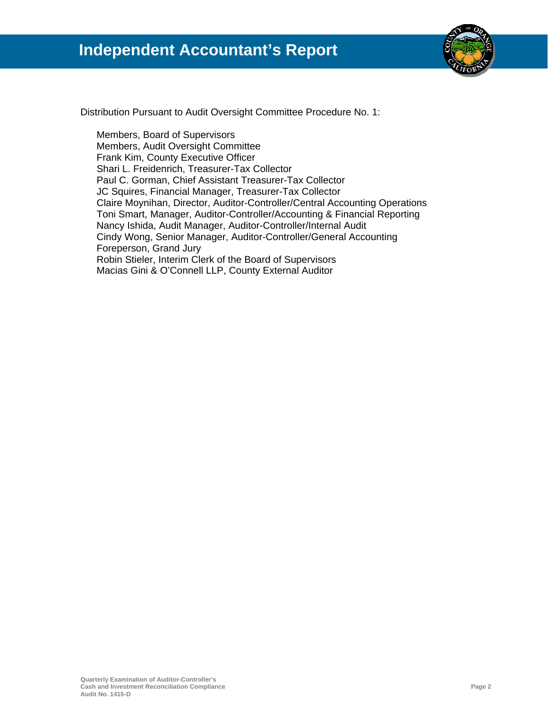

Distribution Pursuant to Audit Oversight Committee Procedure No. 1:

Members, Board of Supervisors Members, Audit Oversight Committee Frank Kim, County Executive Officer Shari L. Freidenrich, Treasurer-Tax Collector Paul C. Gorman, Chief Assistant Treasurer-Tax Collector JC Squires, Financial Manager, Treasurer-Tax Collector Claire Moynihan, Director, Auditor-Controller/Central Accounting Operations Toni Smart, Manager, Auditor-Controller/Accounting & Financial Reporting Nancy Ishida, Audit Manager, Auditor-Controller/Internal Audit Cindy Wong, Senior Manager, Auditor-Controller/General Accounting Foreperson, Grand Jury Robin Stieler, Interim Clerk of the Board of Supervisors Macias Gini & O'Connell LLP, County External Auditor